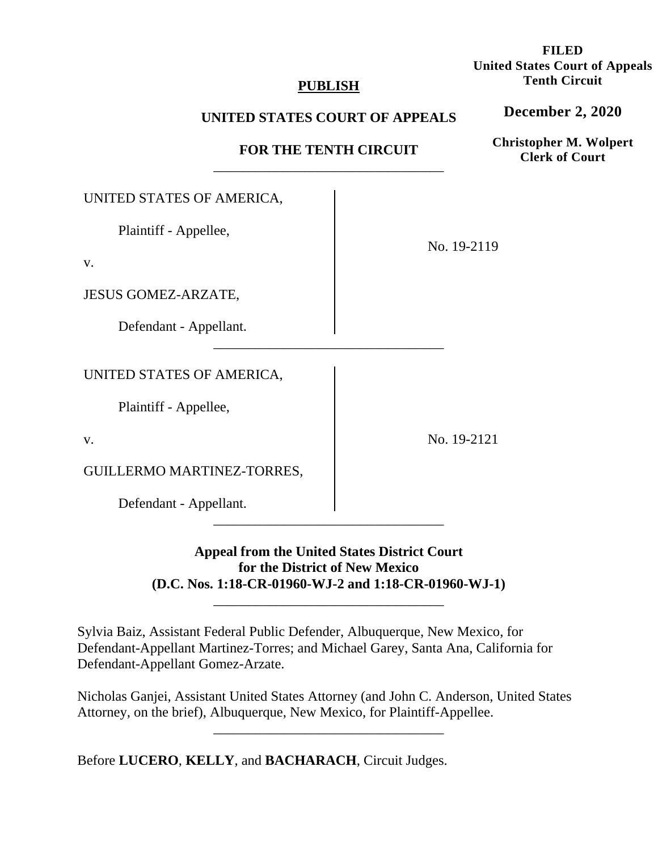## **PUBLISH**

## **UNITED STATES COURT OF APPEALS**

# **FOR THE TENTH CIRCUIT**  \_\_\_\_\_\_\_\_\_\_\_\_\_\_\_\_\_\_\_\_\_\_\_\_\_\_\_\_\_\_\_\_\_

| UNITED STATES OF AMERICA,  |             |
|----------------------------|-------------|
| Plaintiff - Appellee,      | No. 19-2119 |
| v.                         |             |
| JESUS GOMEZ-ARZATE,        |             |
| Defendant - Appellant.     |             |
| UNITED STATES OF AMERICA,  |             |
| Plaintiff - Appellee,      |             |
| v.                         | No. 19-2121 |
| GUILLERMO MARTINEZ-TORRES, |             |
| Defendant - Appellant.     |             |
|                            |             |

# **Appeal from the United States District Court for the District of New Mexico (D.C. Nos. 1:18-CR-01960-WJ-2 and 1:18-CR-01960-WJ-1)**

\_\_\_\_\_\_\_\_\_\_\_\_\_\_\_\_\_\_\_\_\_\_\_\_\_\_\_\_\_\_\_\_\_

Sylvia Baiz, Assistant Federal Public Defender, Albuquerque, New Mexico, for Defendant-Appellant Martinez-Torres; and Michael Garey, Santa Ana, California for Defendant-Appellant Gomez-Arzate.

Nicholas Ganjei, Assistant United States Attorney (and John C. Anderson, United States Attorney, on the brief), Albuquerque, New Mexico, for Plaintiff-Appellee.

\_\_\_\_\_\_\_\_\_\_\_\_\_\_\_\_\_\_\_\_\_\_\_\_\_\_\_\_\_\_\_\_\_

Before **LUCERO**, **KELLY**, and **BACHARACH**, Circuit Judges.

**FILED United States Court of Appeals Tenth Circuit** 

**December 2, 2020**

**Christopher M. Wolpert Clerk of Court**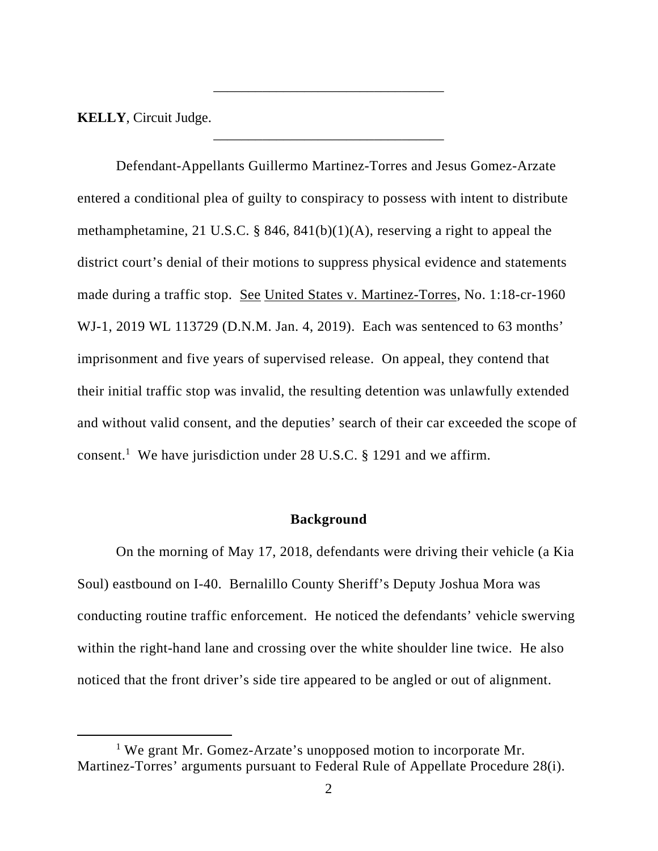**KELLY**, Circuit Judge.

Defendant-Appellants Guillermo Martinez-Torres and Jesus Gomez-Arzate entered a conditional plea of guilty to conspiracy to possess with intent to distribute methamphetamine, 21 U.S.C. § 846, 841(b)(1)(A), reserving a right to appeal the district court's denial of their motions to suppress physical evidence and statements made during a traffic stop. See United States v. Martinez-Torres, No. 1:18-cr-1960 WJ-1, 2019 WL 113729 (D.N.M. Jan. 4, 2019). Each was sentenced to 63 months' imprisonment and five years of supervised release. On appeal, they contend that their initial traffic stop was invalid, the resulting detention was unlawfully extended and without valid consent, and the deputies' search of their car exceeded the scope of consent.<sup>1</sup> We have jurisdiction under 28 U.S.C. § 1291 and we affirm.

\_\_\_\_\_\_\_\_\_\_\_\_\_\_\_\_\_\_\_\_\_\_\_\_\_\_\_\_\_\_\_\_\_

\_\_\_\_\_\_\_\_\_\_\_\_\_\_\_\_\_\_\_\_\_\_\_\_\_\_\_\_\_\_\_\_\_

#### **Background**

 On the morning of May 17, 2018, defendants were driving their vehicle (a Kia Soul) eastbound on I-40. Bernalillo County Sheriff's Deputy Joshua Mora was conducting routine traffic enforcement. He noticed the defendants' vehicle swerving within the right-hand lane and crossing over the white shoulder line twice. He also noticed that the front driver's side tire appeared to be angled or out of alignment.

<sup>&</sup>lt;sup>1</sup> We grant Mr. Gomez-Arzate's unopposed motion to incorporate Mr. Martinez-Torres' arguments pursuant to Federal Rule of Appellate Procedure 28(i).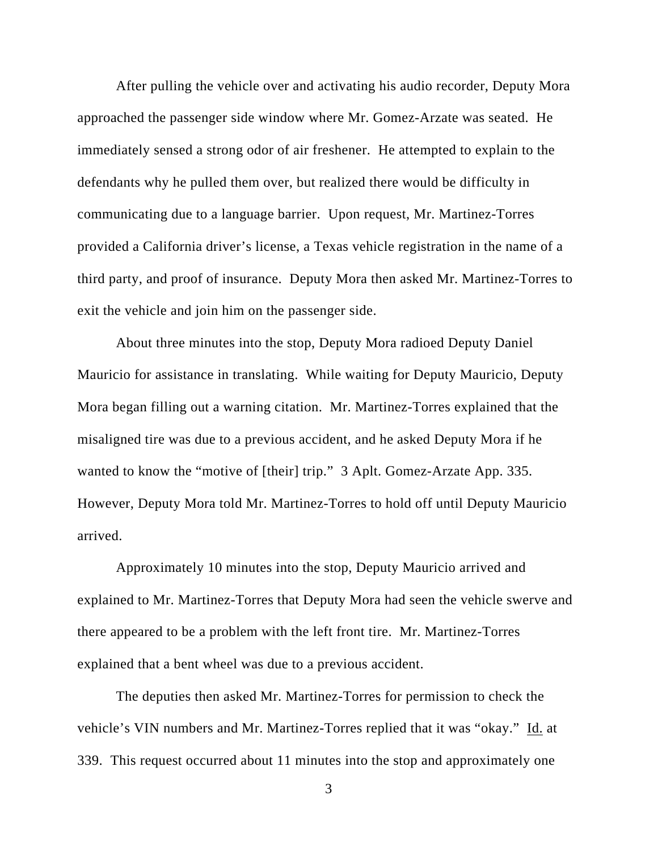After pulling the vehicle over and activating his audio recorder, Deputy Mora approached the passenger side window where Mr. Gomez-Arzate was seated. He immediately sensed a strong odor of air freshener. He attempted to explain to the defendants why he pulled them over, but realized there would be difficulty in communicating due to a language barrier. Upon request, Mr. Martinez-Torres provided a California driver's license, a Texas vehicle registration in the name of a third party, and proof of insurance. Deputy Mora then asked Mr. Martinez-Torres to exit the vehicle and join him on the passenger side.

 About three minutes into the stop, Deputy Mora radioed Deputy Daniel Mauricio for assistance in translating. While waiting for Deputy Mauricio, Deputy Mora began filling out a warning citation. Mr. Martinez-Torres explained that the misaligned tire was due to a previous accident, and he asked Deputy Mora if he wanted to know the "motive of [their] trip." 3 Aplt. Gomez-Arzate App. 335. However, Deputy Mora told Mr. Martinez-Torres to hold off until Deputy Mauricio arrived.

 Approximately 10 minutes into the stop, Deputy Mauricio arrived and explained to Mr. Martinez-Torres that Deputy Mora had seen the vehicle swerve and there appeared to be a problem with the left front tire. Mr. Martinez-Torres explained that a bent wheel was due to a previous accident.

 The deputies then asked Mr. Martinez-Torres for permission to check the vehicle's VIN numbers and Mr. Martinez-Torres replied that it was "okay." Id. at 339. This request occurred about 11 minutes into the stop and approximately one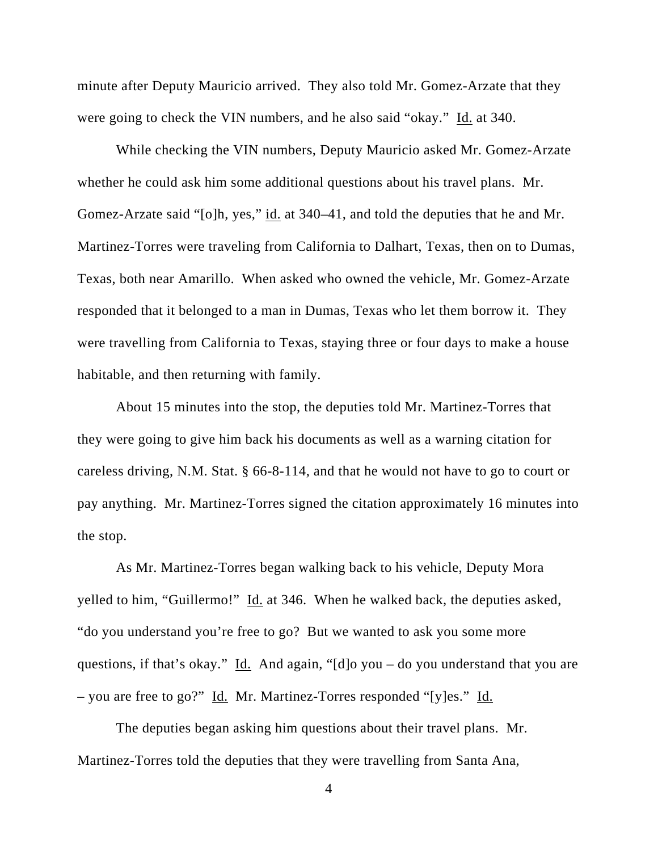minute after Deputy Mauricio arrived. They also told Mr. Gomez-Arzate that they were going to check the VIN numbers, and he also said "okay." Id. at 340.

 While checking the VIN numbers, Deputy Mauricio asked Mr. Gomez-Arzate whether he could ask him some additional questions about his travel plans. Mr. Gomez-Arzate said "[o]h, yes," id. at 340–41, and told the deputies that he and Mr. Martinez-Torres were traveling from California to Dalhart, Texas, then on to Dumas, Texas, both near Amarillo. When asked who owned the vehicle, Mr. Gomez-Arzate responded that it belonged to a man in Dumas, Texas who let them borrow it. They were travelling from California to Texas, staying three or four days to make a house habitable, and then returning with family.

 About 15 minutes into the stop, the deputies told Mr. Martinez-Torres that they were going to give him back his documents as well as a warning citation for careless driving, N.M. Stat. § 66-8-114, and that he would not have to go to court or pay anything. Mr. Martinez-Torres signed the citation approximately 16 minutes into the stop.

 As Mr. Martinez-Torres began walking back to his vehicle, Deputy Mora yelled to him, "Guillermo!" Id. at 346. When he walked back, the deputies asked, "do you understand you're free to go? But we wanted to ask you some more questions, if that's okay." Id. And again, "[d]o you – do you understand that you are – you are free to go?" Id. Mr. Martinez-Torres responded "[y]es." Id.

 The deputies began asking him questions about their travel plans. Mr. Martinez-Torres told the deputies that they were travelling from Santa Ana,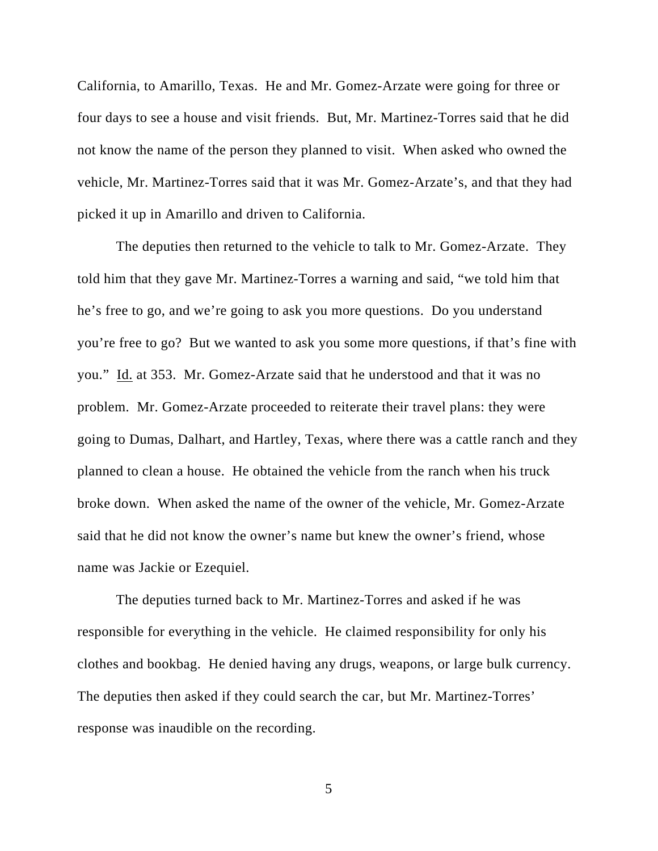California, to Amarillo, Texas. He and Mr. Gomez-Arzate were going for three or four days to see a house and visit friends. But, Mr. Martinez-Torres said that he did not know the name of the person they planned to visit. When asked who owned the vehicle, Mr. Martinez-Torres said that it was Mr. Gomez-Arzate's, and that they had picked it up in Amarillo and driven to California.

 The deputies then returned to the vehicle to talk to Mr. Gomez-Arzate. They told him that they gave Mr. Martinez-Torres a warning and said, "we told him that he's free to go, and we're going to ask you more questions. Do you understand you're free to go? But we wanted to ask you some more questions, if that's fine with you." Id. at 353. Mr. Gomez-Arzate said that he understood and that it was no problem. Mr. Gomez-Arzate proceeded to reiterate their travel plans: they were going to Dumas, Dalhart, and Hartley, Texas, where there was a cattle ranch and they planned to clean a house. He obtained the vehicle from the ranch when his truck broke down. When asked the name of the owner of the vehicle, Mr. Gomez-Arzate said that he did not know the owner's name but knew the owner's friend, whose name was Jackie or Ezequiel.

 The deputies turned back to Mr. Martinez-Torres and asked if he was responsible for everything in the vehicle. He claimed responsibility for only his clothes and bookbag. He denied having any drugs, weapons, or large bulk currency. The deputies then asked if they could search the car, but Mr. Martinez-Torres' response was inaudible on the recording.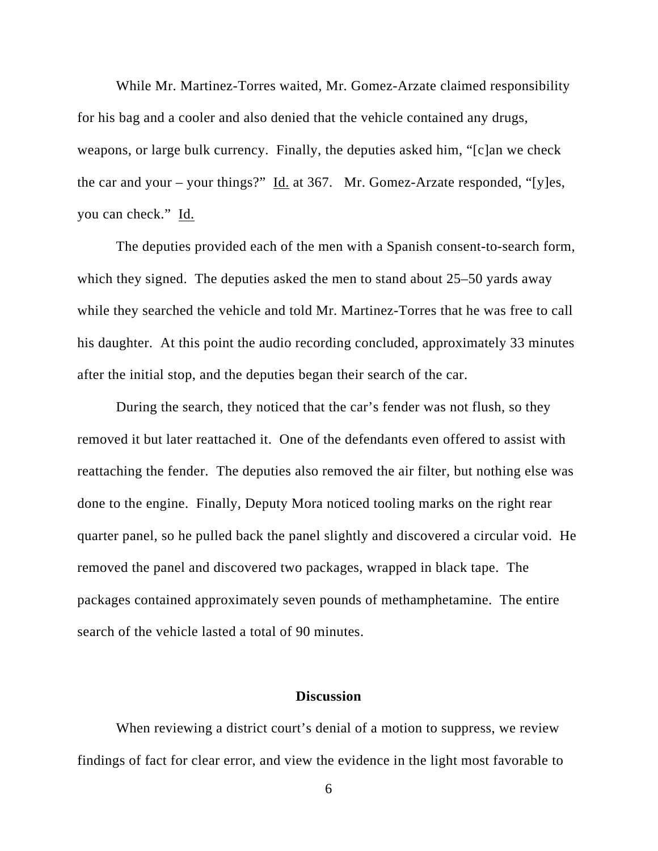While Mr. Martinez-Torres waited, Mr. Gomez-Arzate claimed responsibility for his bag and a cooler and also denied that the vehicle contained any drugs, weapons, or large bulk currency. Finally, the deputies asked him, "[c]an we check the car and your – your things?"  $\underline{Id}$  at 367. Mr. Gomez-Arzate responded, "[y]es, you can check." Id.

 The deputies provided each of the men with a Spanish consent-to-search form, which they signed. The deputies asked the men to stand about 25–50 yards away while they searched the vehicle and told Mr. Martinez-Torres that he was free to call his daughter. At this point the audio recording concluded, approximately 33 minutes after the initial stop, and the deputies began their search of the car.

 During the search, they noticed that the car's fender was not flush, so they removed it but later reattached it. One of the defendants even offered to assist with reattaching the fender. The deputies also removed the air filter, but nothing else was done to the engine. Finally, Deputy Mora noticed tooling marks on the right rear quarter panel, so he pulled back the panel slightly and discovered a circular void. He removed the panel and discovered two packages, wrapped in black tape. The packages contained approximately seven pounds of methamphetamine. The entire search of the vehicle lasted a total of 90 minutes.

### **Discussion**

When reviewing a district court's denial of a motion to suppress, we review findings of fact for clear error, and view the evidence in the light most favorable to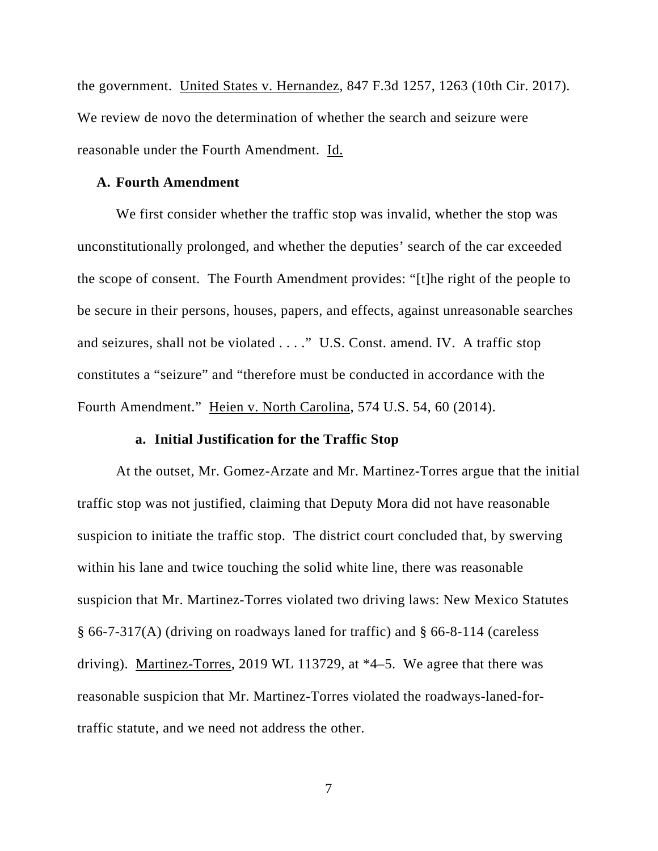the government. United States v. Hernandez, 847 F.3d 1257, 1263 (10th Cir. 2017). We review de novo the determination of whether the search and seizure were reasonable under the Fourth Amendment. Id.

#### **A. Fourth Amendment**

We first consider whether the traffic stop was invalid, whether the stop was unconstitutionally prolonged, and whether the deputies' search of the car exceeded the scope of consent. The Fourth Amendment provides: "[t]he right of the people to be secure in their persons, houses, papers, and effects, against unreasonable searches and seizures, shall not be violated . . . ." U.S. Const. amend. IV. A traffic stop constitutes a "seizure" and "therefore must be conducted in accordance with the Fourth Amendment." Heien v. North Carolina, 574 U.S. 54, 60 (2014).

### **a. Initial Justification for the Traffic Stop**

At the outset, Mr. Gomez-Arzate and Mr. Martinez-Torres argue that the initial traffic stop was not justified, claiming that Deputy Mora did not have reasonable suspicion to initiate the traffic stop. The district court concluded that, by swerving within his lane and twice touching the solid white line, there was reasonable suspicion that Mr. Martinez-Torres violated two driving laws: New Mexico Statutes § 66-7-317(A) (driving on roadways laned for traffic) and § 66-8-114 (careless driving). Martinez-Torres, 2019 WL 113729, at \*4–5. We agree that there was reasonable suspicion that Mr. Martinez-Torres violated the roadways-laned-fortraffic statute, and we need not address the other.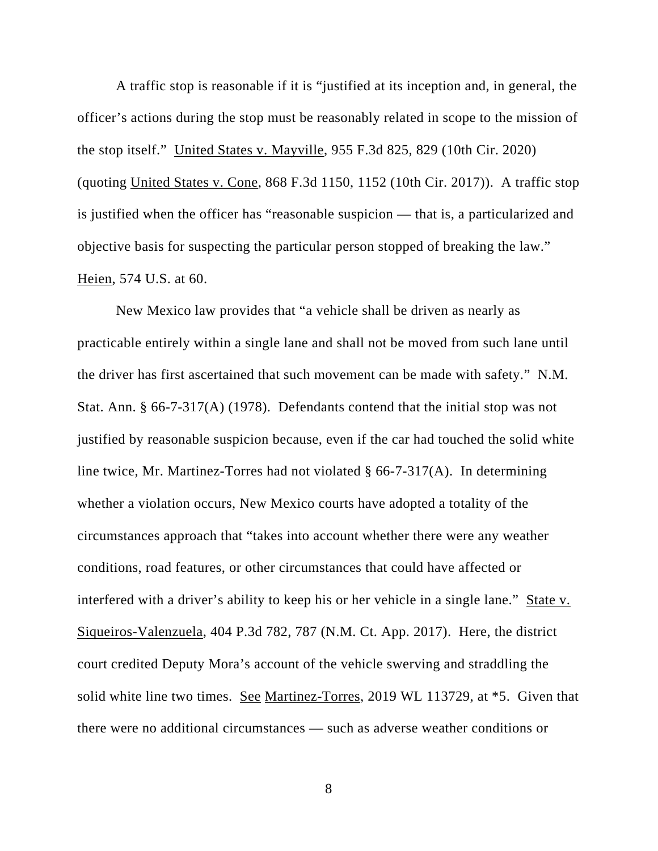A traffic stop is reasonable if it is "justified at its inception and, in general, the officer's actions during the stop must be reasonably related in scope to the mission of the stop itself." United States v. Mayville, 955 F.3d 825, 829 (10th Cir. 2020) (quoting United States v. Cone, 868 F.3d 1150, 1152 (10th Cir. 2017)). A traffic stop is justified when the officer has "reasonable suspicion — that is, a particularized and objective basis for suspecting the particular person stopped of breaking the law." Heien, 574 U.S. at 60.

New Mexico law provides that "a vehicle shall be driven as nearly as practicable entirely within a single lane and shall not be moved from such lane until the driver has first ascertained that such movement can be made with safety." N.M. Stat. Ann. § 66-7-317(A) (1978). Defendants contend that the initial stop was not justified by reasonable suspicion because, even if the car had touched the solid white line twice, Mr. Martinez-Torres had not violated § 66-7-317(A). In determining whether a violation occurs, New Mexico courts have adopted a totality of the circumstances approach that "takes into account whether there were any weather conditions, road features, or other circumstances that could have affected or interfered with a driver's ability to keep his or her vehicle in a single lane." State v. Siqueiros-Valenzuela, 404 P.3d 782, 787 (N.M. Ct. App. 2017). Here, the district court credited Deputy Mora's account of the vehicle swerving and straddling the solid white line two times. See Martinez-Torres, 2019 WL 113729, at \*5. Given that there were no additional circumstances — such as adverse weather conditions or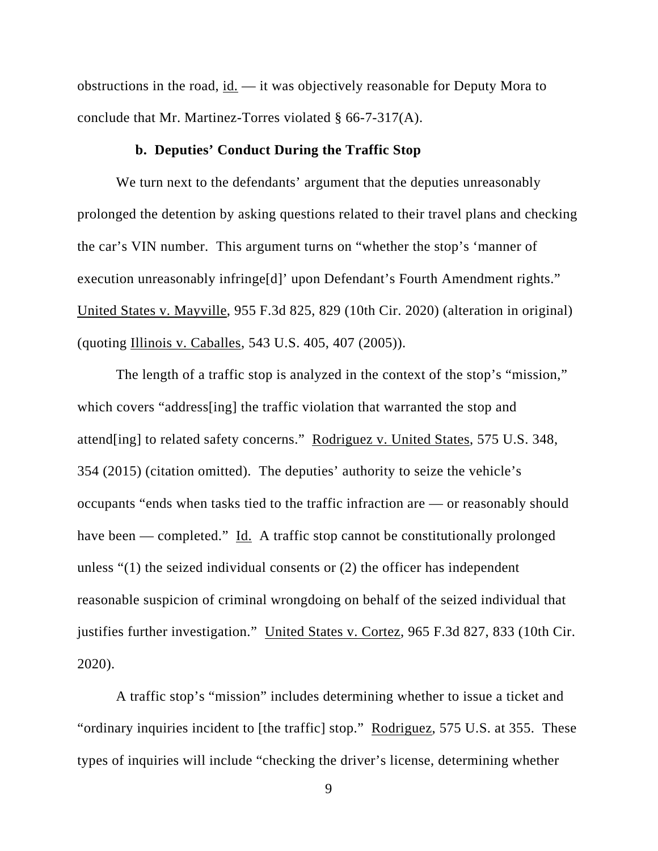obstructions in the road, id. — it was objectively reasonable for Deputy Mora to conclude that Mr. Martinez-Torres violated § 66-7-317(A).

### **b. Deputies' Conduct During the Traffic Stop**

We turn next to the defendants' argument that the deputies unreasonably prolonged the detention by asking questions related to their travel plans and checking the car's VIN number. This argument turns on "whether the stop's 'manner of execution unreasonably infringe[d]' upon Defendant's Fourth Amendment rights." United States v. Mayville, 955 F.3d 825, 829 (10th Cir. 2020) (alteration in original) (quoting Illinois v. Caballes, 543 U.S. 405, 407 (2005)).

The length of a traffic stop is analyzed in the context of the stop's "mission," which covers "address[ing] the traffic violation that warranted the stop and attend[ing] to related safety concerns." Rodriguez v. United States, 575 U.S. 348, 354 (2015) (citation omitted). The deputies' authority to seize the vehicle's occupants "ends when tasks tied to the traffic infraction are — or reasonably should have been — completed." Id. A traffic stop cannot be constitutionally prolonged unless "(1) the seized individual consents or (2) the officer has independent reasonable suspicion of criminal wrongdoing on behalf of the seized individual that justifies further investigation." United States v. Cortez, 965 F.3d 827, 833 (10th Cir. 2020).

A traffic stop's "mission" includes determining whether to issue a ticket and "ordinary inquiries incident to [the traffic] stop." Rodriguez, 575 U.S. at 355. These types of inquiries will include "checking the driver's license, determining whether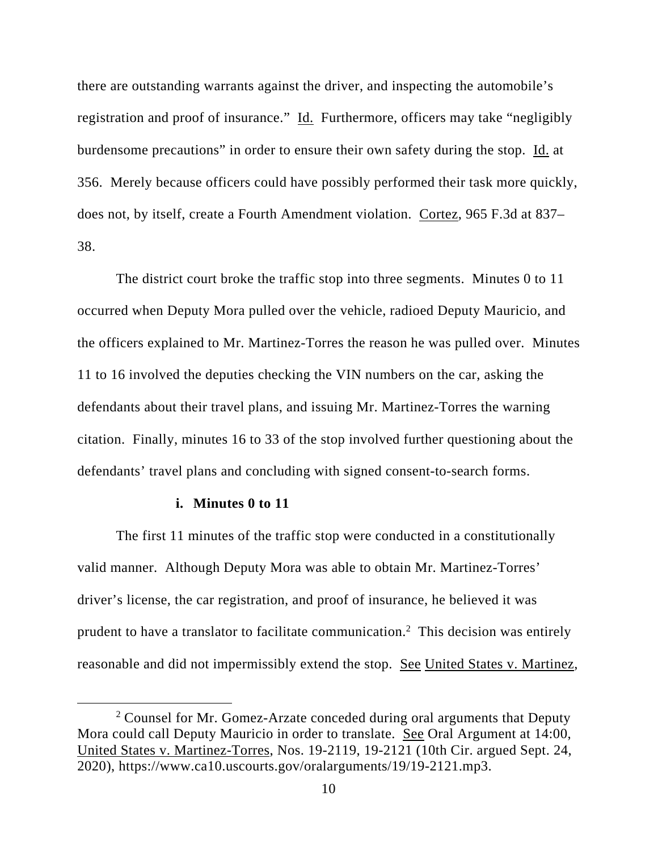there are outstanding warrants against the driver, and inspecting the automobile's registration and proof of insurance." Id. Furthermore, officers may take "negligibly burdensome precautions" in order to ensure their own safety during the stop. Id. at 356. Merely because officers could have possibly performed their task more quickly, does not, by itself, create a Fourth Amendment violation. Cortez, 965 F.3d at 837– 38.

The district court broke the traffic stop into three segments. Minutes 0 to 11 occurred when Deputy Mora pulled over the vehicle, radioed Deputy Mauricio, and the officers explained to Mr. Martinez-Torres the reason he was pulled over. Minutes 11 to 16 involved the deputies checking the VIN numbers on the car, asking the defendants about their travel plans, and issuing Mr. Martinez-Torres the warning citation. Finally, minutes 16 to 33 of the stop involved further questioning about the defendants' travel plans and concluding with signed consent-to-search forms.

#### **i. Minutes 0 to 11**

The first 11 minutes of the traffic stop were conducted in a constitutionally valid manner. Although Deputy Mora was able to obtain Mr. Martinez-Torres' driver's license, the car registration, and proof of insurance, he believed it was prudent to have a translator to facilitate communication.<sup>2</sup> This decision was entirely reasonable and did not impermissibly extend the stop. See United States v. Martinez,

 $2$  Counsel for Mr. Gomez-Arzate conceded during oral arguments that Deputy Mora could call Deputy Mauricio in order to translate. See Oral Argument at 14:00, United States v. Martinez-Torres, Nos. 19-2119, 19-2121 (10th Cir. argued Sept. 24, 2020), https://www.ca10.uscourts.gov/oralarguments/19/19-2121.mp3.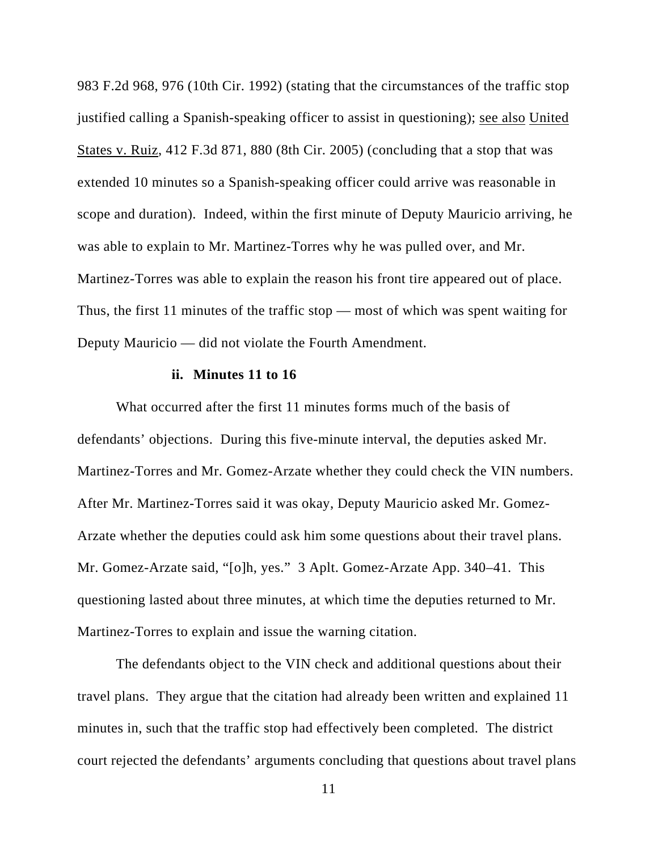983 F.2d 968, 976 (10th Cir. 1992) (stating that the circumstances of the traffic stop justified calling a Spanish-speaking officer to assist in questioning); see also United States v. Ruiz, 412 F.3d 871, 880 (8th Cir. 2005) (concluding that a stop that was extended 10 minutes so a Spanish-speaking officer could arrive was reasonable in scope and duration). Indeed, within the first minute of Deputy Mauricio arriving, he was able to explain to Mr. Martinez-Torres why he was pulled over, and Mr. Martinez-Torres was able to explain the reason his front tire appeared out of place. Thus, the first 11 minutes of the traffic stop — most of which was spent waiting for Deputy Mauricio — did not violate the Fourth Amendment.

### **ii. Minutes 11 to 16**

What occurred after the first 11 minutes forms much of the basis of defendants' objections. During this five-minute interval, the deputies asked Mr. Martinez-Torres and Mr. Gomez-Arzate whether they could check the VIN numbers. After Mr. Martinez-Torres said it was okay, Deputy Mauricio asked Mr. Gomez-Arzate whether the deputies could ask him some questions about their travel plans. Mr. Gomez-Arzate said, "[o]h, yes." 3 Aplt. Gomez-Arzate App. 340–41. This questioning lasted about three minutes, at which time the deputies returned to Mr. Martinez-Torres to explain and issue the warning citation.

The defendants object to the VIN check and additional questions about their travel plans. They argue that the citation had already been written and explained 11 minutes in, such that the traffic stop had effectively been completed. The district court rejected the defendants' arguments concluding that questions about travel plans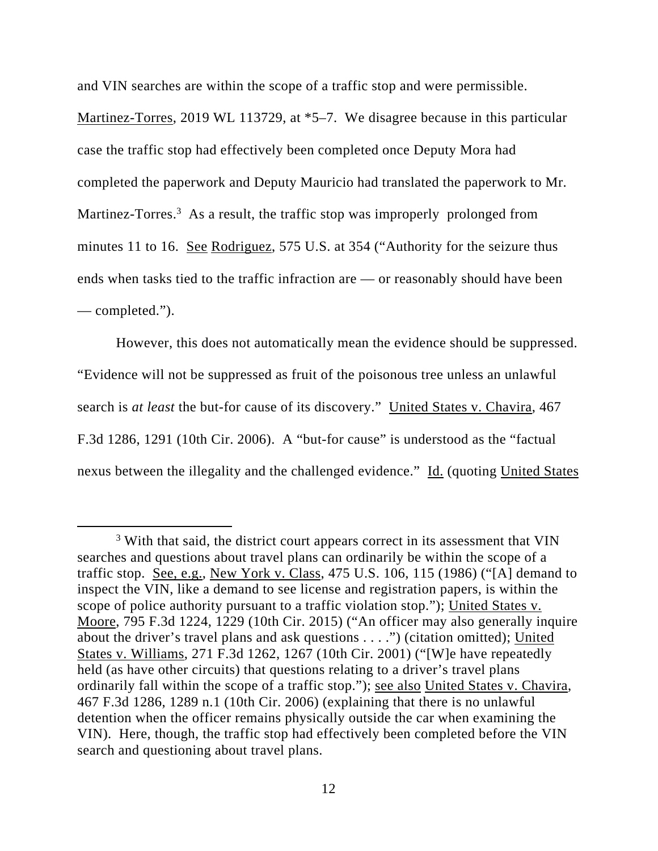and VIN searches are within the scope of a traffic stop and were permissible.

Martinez-Torres, 2019 WL 113729, at  $*5-7$ . We disagree because in this particular case the traffic stop had effectively been completed once Deputy Mora had completed the paperwork and Deputy Mauricio had translated the paperwork to Mr. Martinez-Torres.<sup>3</sup> As a result, the traffic stop was improperly prolonged from minutes 11 to 16. See Rodriguez, 575 U.S. at 354 ("Authority for the seizure thus ends when tasks tied to the traffic infraction are — or reasonably should have been — completed.").

However, this does not automatically mean the evidence should be suppressed. "Evidence will not be suppressed as fruit of the poisonous tree unless an unlawful search is *at least* the but-for cause of its discovery." United States v. Chavira, 467 F.3d 1286, 1291 (10th Cir. 2006). A "but-for cause" is understood as the "factual nexus between the illegality and the challenged evidence." Id. (quoting United States

<sup>&</sup>lt;sup>3</sup> With that said, the district court appears correct in its assessment that VIN searches and questions about travel plans can ordinarily be within the scope of a traffic stop. See, e.g., New York v. Class, 475 U.S. 106, 115 (1986) ("[A] demand to inspect the VIN, like a demand to see license and registration papers, is within the scope of police authority pursuant to a traffic violation stop."); United States v. Moore, 795 F.3d 1224, 1229 (10th Cir. 2015) ("An officer may also generally inquire about the driver's travel plans and ask questions . . . .") (citation omitted); United States v. Williams, 271 F.3d 1262, 1267 (10th Cir. 2001) ("[W]e have repeatedly held (as have other circuits) that questions relating to a driver's travel plans ordinarily fall within the scope of a traffic stop."); see also United States v. Chavira, 467 F.3d 1286, 1289 n.1 (10th Cir. 2006) (explaining that there is no unlawful detention when the officer remains physically outside the car when examining the VIN). Here, though, the traffic stop had effectively been completed before the VIN search and questioning about travel plans.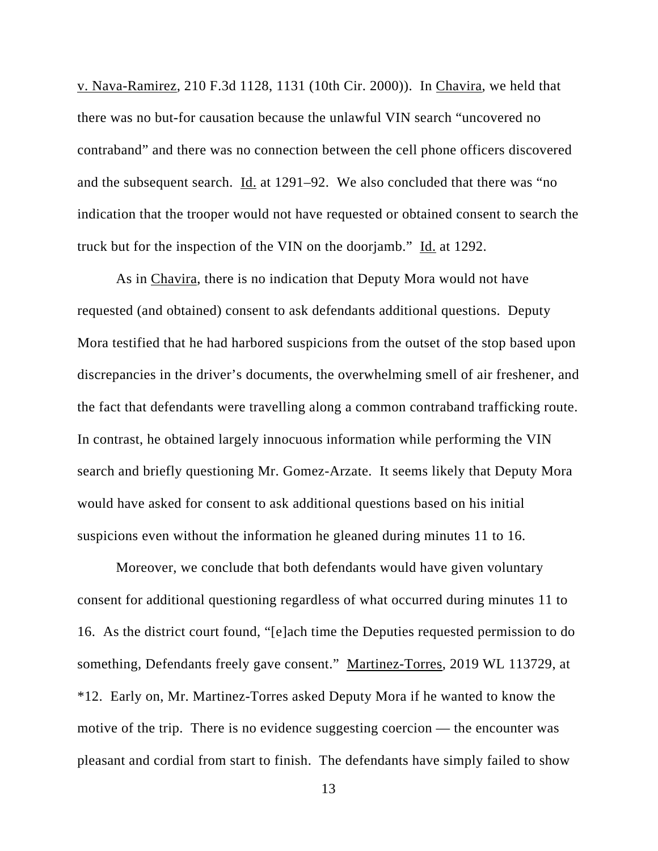v. Nava-Ramirez, 210 F.3d 1128, 1131 (10th Cir. 2000)). In Chavira, we held that there was no but-for causation because the unlawful VIN search "uncovered no contraband" and there was no connection between the cell phone officers discovered and the subsequent search. Id. at 1291–92. We also concluded that there was "no indication that the trooper would not have requested or obtained consent to search the truck but for the inspection of the VIN on the doorjamb." Id. at 1292.

As in Chavira, there is no indication that Deputy Mora would not have requested (and obtained) consent to ask defendants additional questions. Deputy Mora testified that he had harbored suspicions from the outset of the stop based upon discrepancies in the driver's documents, the overwhelming smell of air freshener, and the fact that defendants were travelling along a common contraband trafficking route. In contrast, he obtained largely innocuous information while performing the VIN search and briefly questioning Mr. Gomez-Arzate. It seems likely that Deputy Mora would have asked for consent to ask additional questions based on his initial suspicions even without the information he gleaned during minutes 11 to 16.

Moreover, we conclude that both defendants would have given voluntary consent for additional questioning regardless of what occurred during minutes 11 to 16. As the district court found, "[e]ach time the Deputies requested permission to do something, Defendants freely gave consent." Martinez-Torres, 2019 WL 113729, at \*12. Early on, Mr. Martinez-Torres asked Deputy Mora if he wanted to know the motive of the trip. There is no evidence suggesting coercion — the encounter was pleasant and cordial from start to finish. The defendants have simply failed to show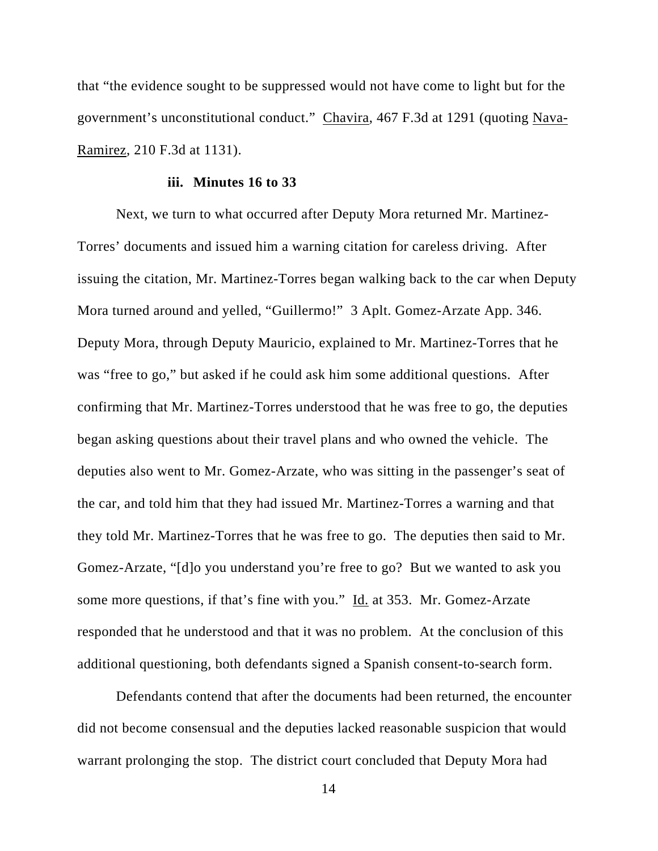that "the evidence sought to be suppressed would not have come to light but for the government's unconstitutional conduct." Chavira, 467 F.3d at 1291 (quoting Nava-Ramirez, 210 F.3d at 1131).

#### **iii. Minutes 16 to 33**

Next, we turn to what occurred after Deputy Mora returned Mr. Martinez-Torres' documents and issued him a warning citation for careless driving. After issuing the citation, Mr. Martinez-Torres began walking back to the car when Deputy Mora turned around and yelled, "Guillermo!" 3 Aplt. Gomez-Arzate App. 346. Deputy Mora, through Deputy Mauricio, explained to Mr. Martinez-Torres that he was "free to go," but asked if he could ask him some additional questions. After confirming that Mr. Martinez-Torres understood that he was free to go, the deputies began asking questions about their travel plans and who owned the vehicle. The deputies also went to Mr. Gomez-Arzate, who was sitting in the passenger's seat of the car, and told him that they had issued Mr. Martinez-Torres a warning and that they told Mr. Martinez-Torres that he was free to go. The deputies then said to Mr. Gomez-Arzate, "[d]o you understand you're free to go? But we wanted to ask you some more questions, if that's fine with you." Id. at 353. Mr. Gomez-Arzate responded that he understood and that it was no problem. At the conclusion of this additional questioning, both defendants signed a Spanish consent-to-search form.

Defendants contend that after the documents had been returned, the encounter did not become consensual and the deputies lacked reasonable suspicion that would warrant prolonging the stop. The district court concluded that Deputy Mora had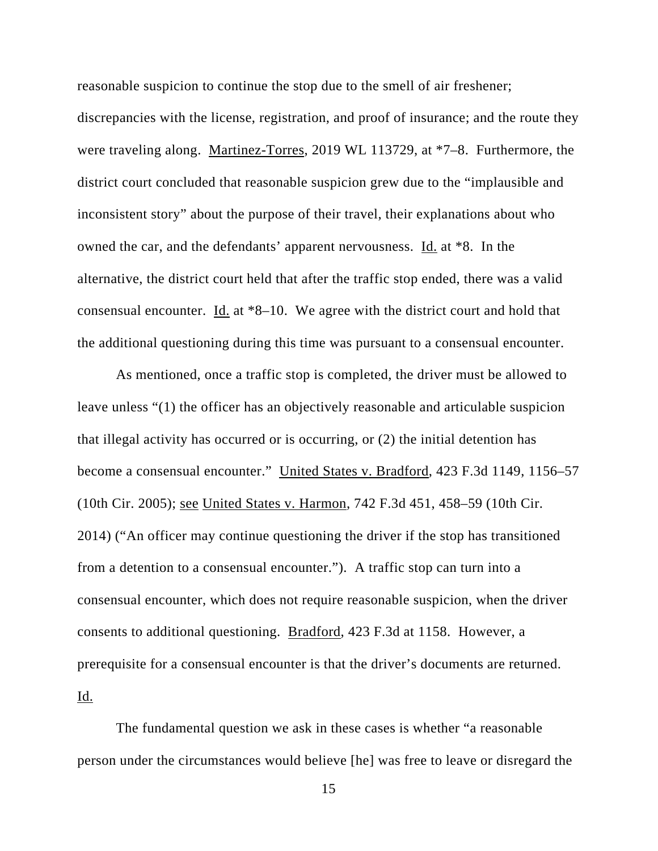reasonable suspicion to continue the stop due to the smell of air freshener;

discrepancies with the license, registration, and proof of insurance; and the route they were traveling along. Martinez-Torres, 2019 WL 113729, at \*7–8. Furthermore, the district court concluded that reasonable suspicion grew due to the "implausible and inconsistent story" about the purpose of their travel, their explanations about who owned the car, and the defendants' apparent nervousness. Id. at \*8. In the alternative, the district court held that after the traffic stop ended, there was a valid consensual encounter. Id. at \*8–10. We agree with the district court and hold that the additional questioning during this time was pursuant to a consensual encounter.

As mentioned, once a traffic stop is completed, the driver must be allowed to leave unless "(1) the officer has an objectively reasonable and articulable suspicion that illegal activity has occurred or is occurring, or (2) the initial detention has become a consensual encounter." United States v. Bradford, 423 F.3d 1149, 1156–57 (10th Cir. 2005); see United States v. Harmon, 742 F.3d 451, 458–59 (10th Cir. 2014) ("An officer may continue questioning the driver if the stop has transitioned from a detention to a consensual encounter."). A traffic stop can turn into a consensual encounter, which does not require reasonable suspicion, when the driver consents to additional questioning. Bradford, 423 F.3d at 1158. However, a prerequisite for a consensual encounter is that the driver's documents are returned. Id.

The fundamental question we ask in these cases is whether "a reasonable person under the circumstances would believe [he] was free to leave or disregard the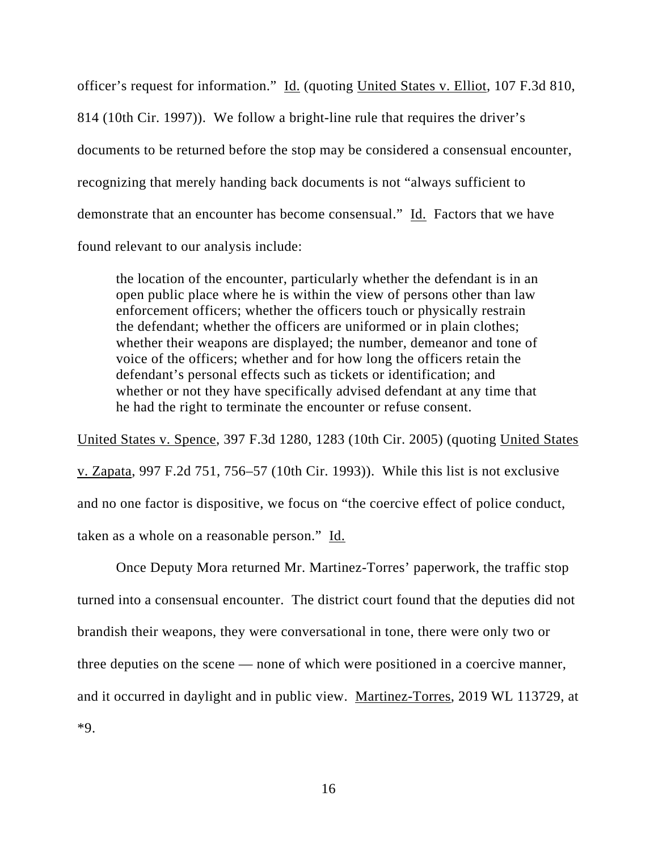officer's request for information." Id. (quoting United States v. Elliot, 107 F.3d 810, 814 (10th Cir. 1997)). We follow a bright-line rule that requires the driver's documents to be returned before the stop may be considered a consensual encounter, recognizing that merely handing back documents is not "always sufficient to demonstrate that an encounter has become consensual." Id. Factors that we have found relevant to our analysis include:

the location of the encounter, particularly whether the defendant is in an open public place where he is within the view of persons other than law enforcement officers; whether the officers touch or physically restrain the defendant; whether the officers are uniformed or in plain clothes; whether their weapons are displayed; the number, demeanor and tone of voice of the officers; whether and for how long the officers retain the defendant's personal effects such as tickets or identification; and whether or not they have specifically advised defendant at any time that he had the right to terminate the encounter or refuse consent.

United States v. Spence, 397 F.3d 1280, 1283 (10th Cir. 2005) (quoting United States v. Zapata, 997 F.2d 751, 756–57 (10th Cir. 1993)). While this list is not exclusive and no one factor is dispositive, we focus on "the coercive effect of police conduct, taken as a whole on a reasonable person." Id.

 Once Deputy Mora returned Mr. Martinez-Torres' paperwork, the traffic stop turned into a consensual encounter. The district court found that the deputies did not brandish their weapons, they were conversational in tone, there were only two or three deputies on the scene — none of which were positioned in a coercive manner, and it occurred in daylight and in public view. Martinez-Torres, 2019 WL 113729, at \*9.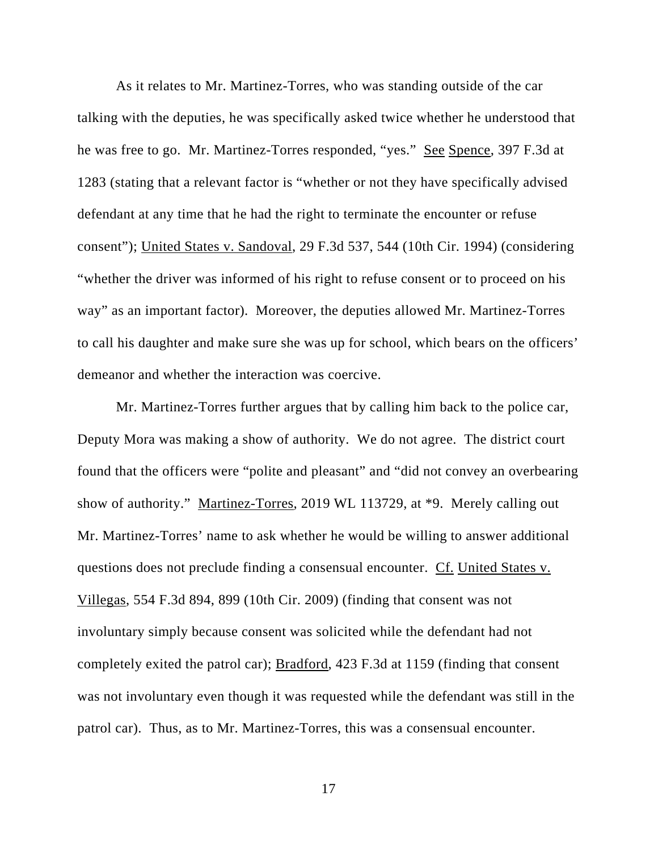As it relates to Mr. Martinez-Torres, who was standing outside of the car talking with the deputies, he was specifically asked twice whether he understood that he was free to go. Mr. Martinez-Torres responded, "yes." See Spence, 397 F.3d at 1283 (stating that a relevant factor is "whether or not they have specifically advised defendant at any time that he had the right to terminate the encounter or refuse consent"); United States v. Sandoval, 29 F.3d 537, 544 (10th Cir. 1994) (considering "whether the driver was informed of his right to refuse consent or to proceed on his way" as an important factor). Moreover, the deputies allowed Mr. Martinez-Torres to call his daughter and make sure she was up for school, which bears on the officers' demeanor and whether the interaction was coercive.

Mr. Martinez-Torres further argues that by calling him back to the police car, Deputy Mora was making a show of authority. We do not agree. The district court found that the officers were "polite and pleasant" and "did not convey an overbearing show of authority." Martinez-Torres, 2019 WL 113729, at \*9. Merely calling out Mr. Martinez-Torres' name to ask whether he would be willing to answer additional questions does not preclude finding a consensual encounter. Cf. United States v. Villegas, 554 F.3d 894, 899 (10th Cir. 2009) (finding that consent was not involuntary simply because consent was solicited while the defendant had not completely exited the patrol car); Bradford, 423 F.3d at 1159 (finding that consent was not involuntary even though it was requested while the defendant was still in the patrol car). Thus, as to Mr. Martinez-Torres, this was a consensual encounter.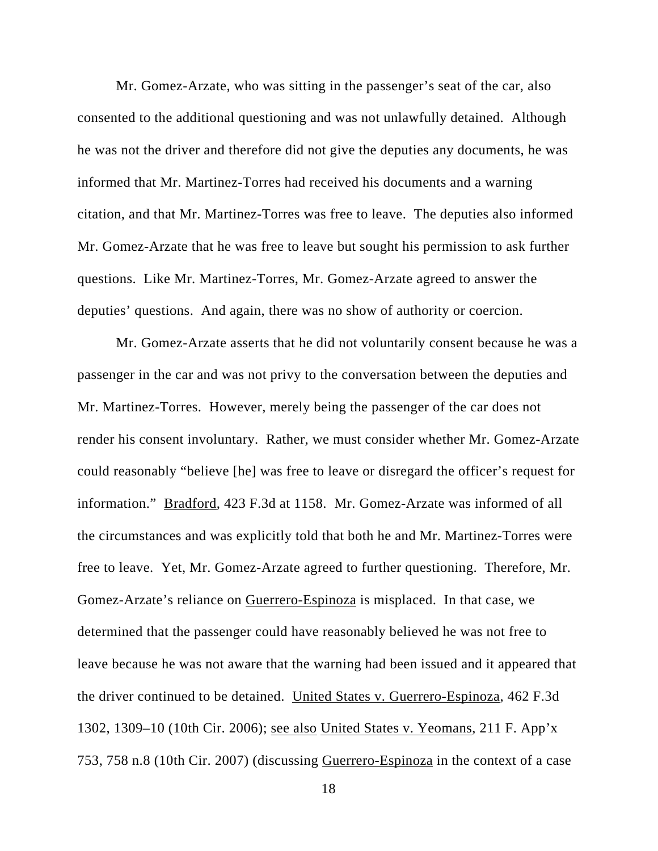Mr. Gomez-Arzate, who was sitting in the passenger's seat of the car, also consented to the additional questioning and was not unlawfully detained. Although he was not the driver and therefore did not give the deputies any documents, he was informed that Mr. Martinez-Torres had received his documents and a warning citation, and that Mr. Martinez-Torres was free to leave. The deputies also informed Mr. Gomez-Arzate that he was free to leave but sought his permission to ask further questions. Like Mr. Martinez-Torres, Mr. Gomez-Arzate agreed to answer the deputies' questions. And again, there was no show of authority or coercion.

 Mr. Gomez-Arzate asserts that he did not voluntarily consent because he was a passenger in the car and was not privy to the conversation between the deputies and Mr. Martinez-Torres. However, merely being the passenger of the car does not render his consent involuntary. Rather, we must consider whether Mr. Gomez-Arzate could reasonably "believe [he] was free to leave or disregard the officer's request for information." Bradford, 423 F.3d at 1158. Mr. Gomez-Arzate was informed of all the circumstances and was explicitly told that both he and Mr. Martinez-Torres were free to leave. Yet, Mr. Gomez-Arzate agreed to further questioning. Therefore, Mr. Gomez-Arzate's reliance on Guerrero-Espinoza is misplaced. In that case, we determined that the passenger could have reasonably believed he was not free to leave because he was not aware that the warning had been issued and it appeared that the driver continued to be detained. United States v. Guerrero-Espinoza, 462 F.3d 1302, 1309–10 (10th Cir. 2006); see also United States v. Yeomans, 211 F. App'x 753, 758 n.8 (10th Cir. 2007) (discussing Guerrero-Espinoza in the context of a case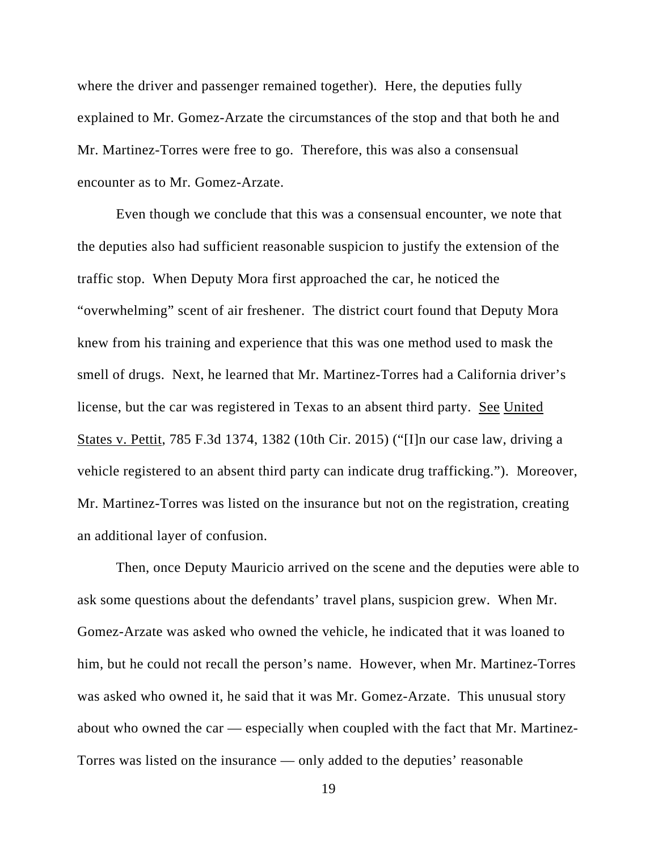where the driver and passenger remained together). Here, the deputies fully explained to Mr. Gomez-Arzate the circumstances of the stop and that both he and Mr. Martinez-Torres were free to go. Therefore, this was also a consensual encounter as to Mr. Gomez-Arzate.

Even though we conclude that this was a consensual encounter, we note that the deputies also had sufficient reasonable suspicion to justify the extension of the traffic stop. When Deputy Mora first approached the car, he noticed the "overwhelming" scent of air freshener. The district court found that Deputy Mora knew from his training and experience that this was one method used to mask the smell of drugs. Next, he learned that Mr. Martinez-Torres had a California driver's license, but the car was registered in Texas to an absent third party. See United States v. Pettit, 785 F.3d 1374, 1382 (10th Cir. 2015) ("[I]n our case law, driving a vehicle registered to an absent third party can indicate drug trafficking."). Moreover, Mr. Martinez-Torres was listed on the insurance but not on the registration, creating an additional layer of confusion.

Then, once Deputy Mauricio arrived on the scene and the deputies were able to ask some questions about the defendants' travel plans, suspicion grew. When Mr. Gomez-Arzate was asked who owned the vehicle, he indicated that it was loaned to him, but he could not recall the person's name. However, when Mr. Martinez-Torres was asked who owned it, he said that it was Mr. Gomez-Arzate. This unusual story about who owned the car — especially when coupled with the fact that Mr. Martinez-Torres was listed on the insurance — only added to the deputies' reasonable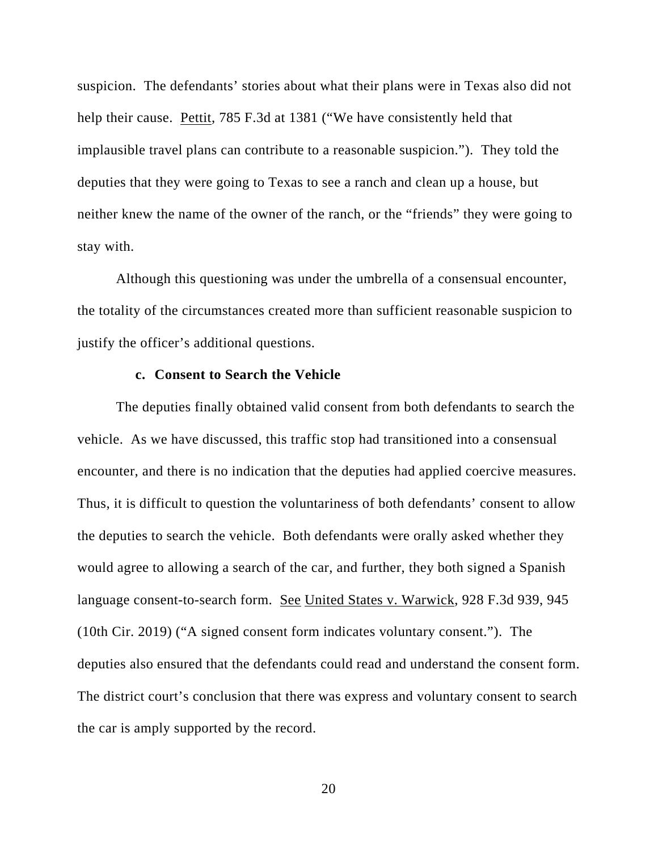suspicion. The defendants' stories about what their plans were in Texas also did not help their cause. Pettit, 785 F.3d at 1381 ("We have consistently held that implausible travel plans can contribute to a reasonable suspicion."). They told the deputies that they were going to Texas to see a ranch and clean up a house, but neither knew the name of the owner of the ranch, or the "friends" they were going to stay with.

Although this questioning was under the umbrella of a consensual encounter, the totality of the circumstances created more than sufficient reasonable suspicion to justify the officer's additional questions.

## **c. Consent to Search the Vehicle**

The deputies finally obtained valid consent from both defendants to search the vehicle. As we have discussed, this traffic stop had transitioned into a consensual encounter, and there is no indication that the deputies had applied coercive measures. Thus, it is difficult to question the voluntariness of both defendants' consent to allow the deputies to search the vehicle. Both defendants were orally asked whether they would agree to allowing a search of the car, and further, they both signed a Spanish language consent-to-search form. See United States v. Warwick, 928 F.3d 939, 945 (10th Cir. 2019) ("A signed consent form indicates voluntary consent."). The deputies also ensured that the defendants could read and understand the consent form. The district court's conclusion that there was express and voluntary consent to search the car is amply supported by the record.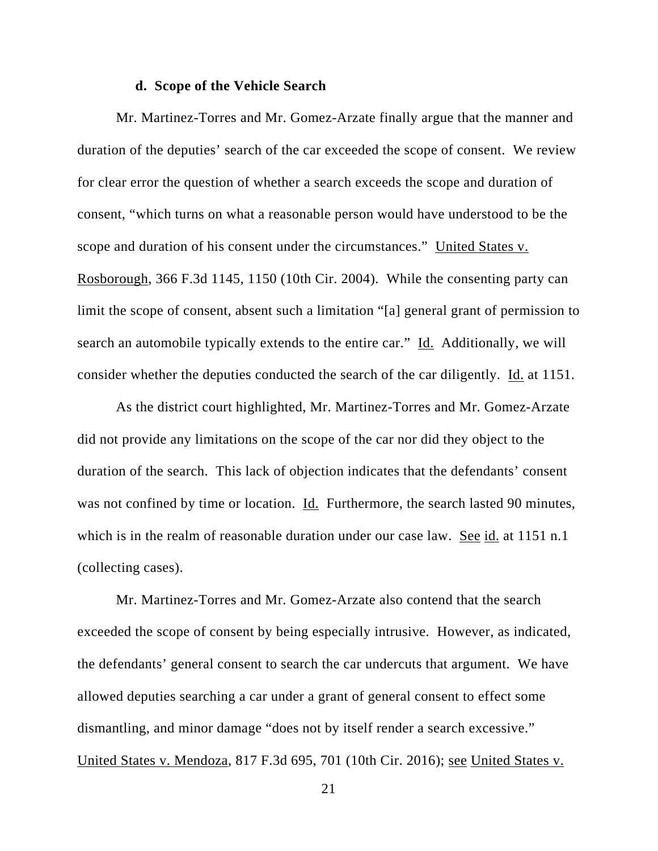#### **d. Scope of the Vehicle Search**

Mr. Martinez-Torres and Mr. Gomez-Arzate finally argue that the manner and duration of the deputies' search of the car exceeded the scope of consent. We review for clear error the question of whether a search exceeds the scope and duration of consent, "which turns on what a reasonable person would have understood to be the scope and duration of his consent under the circumstances." United States v. Rosborough, 366 F.3d 1145, 1150 (10th Cir. 2004). While the consenting party can limit the scope of consent, absent such a limitation "[a] general grant of permission to search an automobile typically extends to the entire car." Id. Additionally, we will consider whether the deputies conducted the search of the car diligently. Id. at 1151.

As the district court highlighted, Mr. Martinez-Torres and Mr. Gomez-Arzate did not provide any limitations on the scope of the car nor did they object to the duration of the search. This lack of objection indicates that the defendants' consent was not confined by time or location. Id. Furthermore, the search lasted 90 minutes, which is in the realm of reasonable duration under our case law. See id. at 1151 n.1 (collecting cases).

Mr. Martinez-Torres and Mr. Gomez-Arzate also contend that the search exceeded the scope of consent by being especially intrusive. However, as indicated, the defendants' general consent to search the car undercuts that argument. We have allowed deputies searching a car under a grant of general consent to effect some dismantling, and minor damage "does not by itself render a search excessive." United States v. Mendoza, 817 F.3d 695, 701 (10th Cir. 2016); see United States v.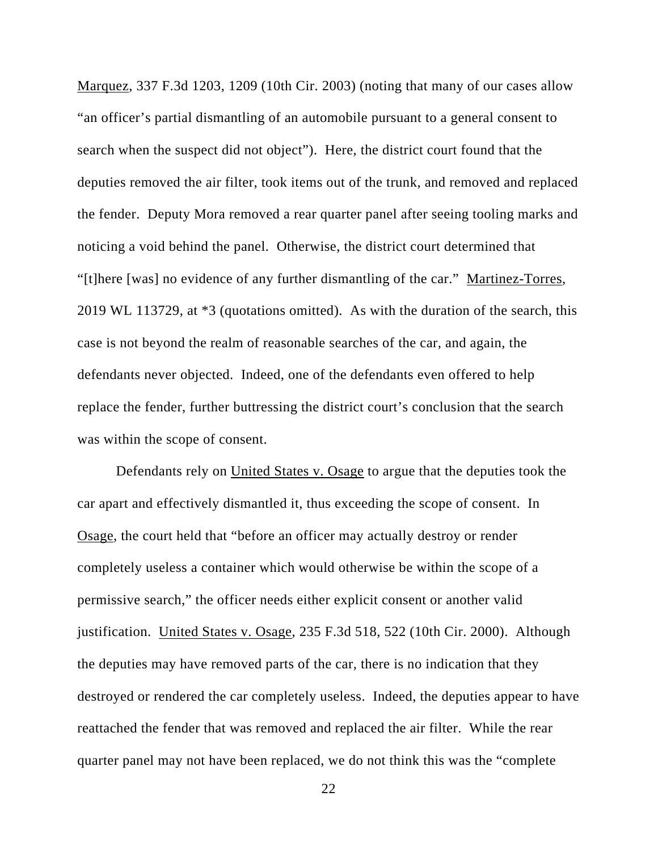Marquez, 337 F.3d 1203, 1209 (10th Cir. 2003) (noting that many of our cases allow "an officer's partial dismantling of an automobile pursuant to a general consent to search when the suspect did not object"). Here, the district court found that the deputies removed the air filter, took items out of the trunk, and removed and replaced the fender. Deputy Mora removed a rear quarter panel after seeing tooling marks and noticing a void behind the panel. Otherwise, the district court determined that "[t]here [was] no evidence of any further dismantling of the car." Martinez-Torres, 2019 WL 113729, at \*3 (quotations omitted). As with the duration of the search, this case is not beyond the realm of reasonable searches of the car, and again, the defendants never objected. Indeed, one of the defendants even offered to help replace the fender, further buttressing the district court's conclusion that the search was within the scope of consent.

Defendants rely on United States v. Osage to argue that the deputies took the car apart and effectively dismantled it, thus exceeding the scope of consent. In Osage, the court held that "before an officer may actually destroy or render completely useless a container which would otherwise be within the scope of a permissive search," the officer needs either explicit consent or another valid justification. United States v. Osage, 235 F.3d 518, 522 (10th Cir. 2000). Although the deputies may have removed parts of the car, there is no indication that they destroyed or rendered the car completely useless. Indeed, the deputies appear to have reattached the fender that was removed and replaced the air filter. While the rear quarter panel may not have been replaced, we do not think this was the "complete